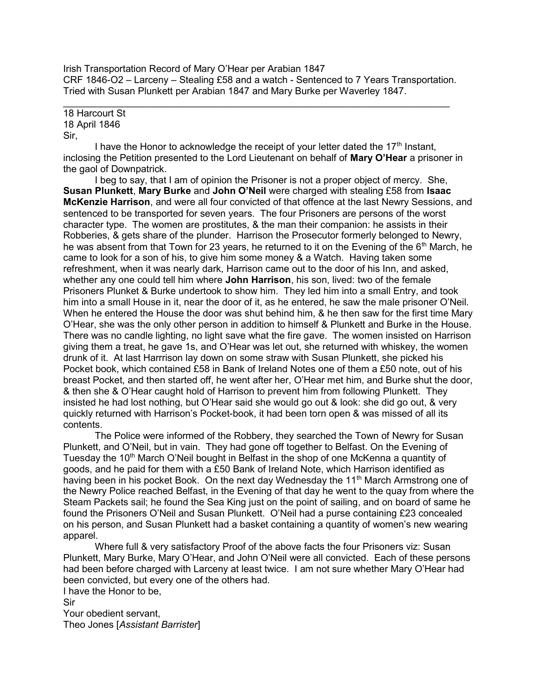Irish Transportation Record of Mary O'Hear per Arabian 1847 CRF 1846-O2 – Larceny – Stealing £58 and a watch - Sentenced to 7 Years Transportation. Tried with Susan Plunkett per Arabian 1847 and Mary Burke per Waverley 1847.

 $\mathcal{L}_\text{max}$  and  $\mathcal{L}_\text{max}$  and  $\mathcal{L}_\text{max}$  and  $\mathcal{L}_\text{max}$  and  $\mathcal{L}_\text{max}$  and  $\mathcal{L}_\text{max}$ 18 Harcourt St 18 April 1846 Sir,

I have the Honor to acknowledge the receipt of your letter dated the  $17<sup>th</sup>$  Instant, inclosing the Petition presented to the Lord Lieutenant on behalf of Mary O'Hear a prisoner in the gaol of Downpatrick.

 I beg to say, that I am of opinion the Prisoner is not a proper object of mercy. She, Susan Plunkett, Mary Burke and John O'Neil were charged with stealing £58 from Isaac McKenzie Harrison, and were all four convicted of that offence at the last Newry Sessions, and sentenced to be transported for seven years. The four Prisoners are persons of the worst character type. The women are prostitutes, & the man their companion: he assists in their Robberies, & gets share of the plunder. Harrison the Prosecutor formerly belonged to Newry, he was absent from that Town for 23 years, he returned to it on the Evening of the  $6<sup>th</sup>$  March, he came to look for a son of his, to give him some money & a Watch. Having taken some refreshment, when it was nearly dark, Harrison came out to the door of his Inn, and asked, whether any one could tell him where John Harrison, his son, lived: two of the female Prisoners Plunket & Burke undertook to show him. They led him into a small Entry, and took him into a small House in it, near the door of it, as he entered, he saw the male prisoner O'Neil. When he entered the House the door was shut behind him, & he then saw for the first time Mary O'Hear, she was the only other person in addition to himself & Plunkett and Burke in the House. There was no candle lighting, no light save what the fire gave. The women insisted on Harrison giving them a treat, he gave 1s, and O'Hear was let out, she returned with whiskey, the women drunk of it. At last Harrrison lay down on some straw with Susan Plunkett, she picked his Pocket book, which contained £58 in Bank of Ireland Notes one of them a £50 note, out of his breast Pocket, and then started off, he went after her, O'Hear met him, and Burke shut the door, & then she & O'Hear caught hold of Harrison to prevent him from following Plunkett. They insisted he had lost nothing, but O'Hear said she would go out & look: she did go out, & very quickly returned with Harrison's Pocket-book, it had been torn open & was missed of all its contents.

 The Police were informed of the Robbery, they searched the Town of Newry for Susan Plunkett, and O'Neil, but in vain. They had gone off together to Belfast. On the Evening of Tuesday the 10<sup>th</sup> March O'Neil bought in Belfast in the shop of one McKenna a quantity of goods, and he paid for them with a £50 Bank of Ireland Note, which Harrison identified as having been in his pocket Book. On the next day Wednesday the 11<sup>th</sup> March Armstrong one of the Newry Police reached Belfast, in the Evening of that day he went to the quay from where the Steam Packets sail; he found the Sea King just on the point of sailing, and on board of same he found the Prisoners O'Neil and Susan Plunkett. O'Neil had a purse containing £23 concealed on his person, and Susan Plunkett had a basket containing a quantity of women's new wearing apparel.

 Where full & very satisfactory Proof of the above facts the four Prisoners viz: Susan Plunkett, Mary Burke, Mary O'Hear, and John O'Neil were all convicted. Each of these persons had been before charged with Larceny at least twice. I am not sure whether Mary O'Hear had been convicted, but every one of the others had.

I have the Honor to be,

Sir

Your obedient servant, Theo Jones [Assistant Barrister]